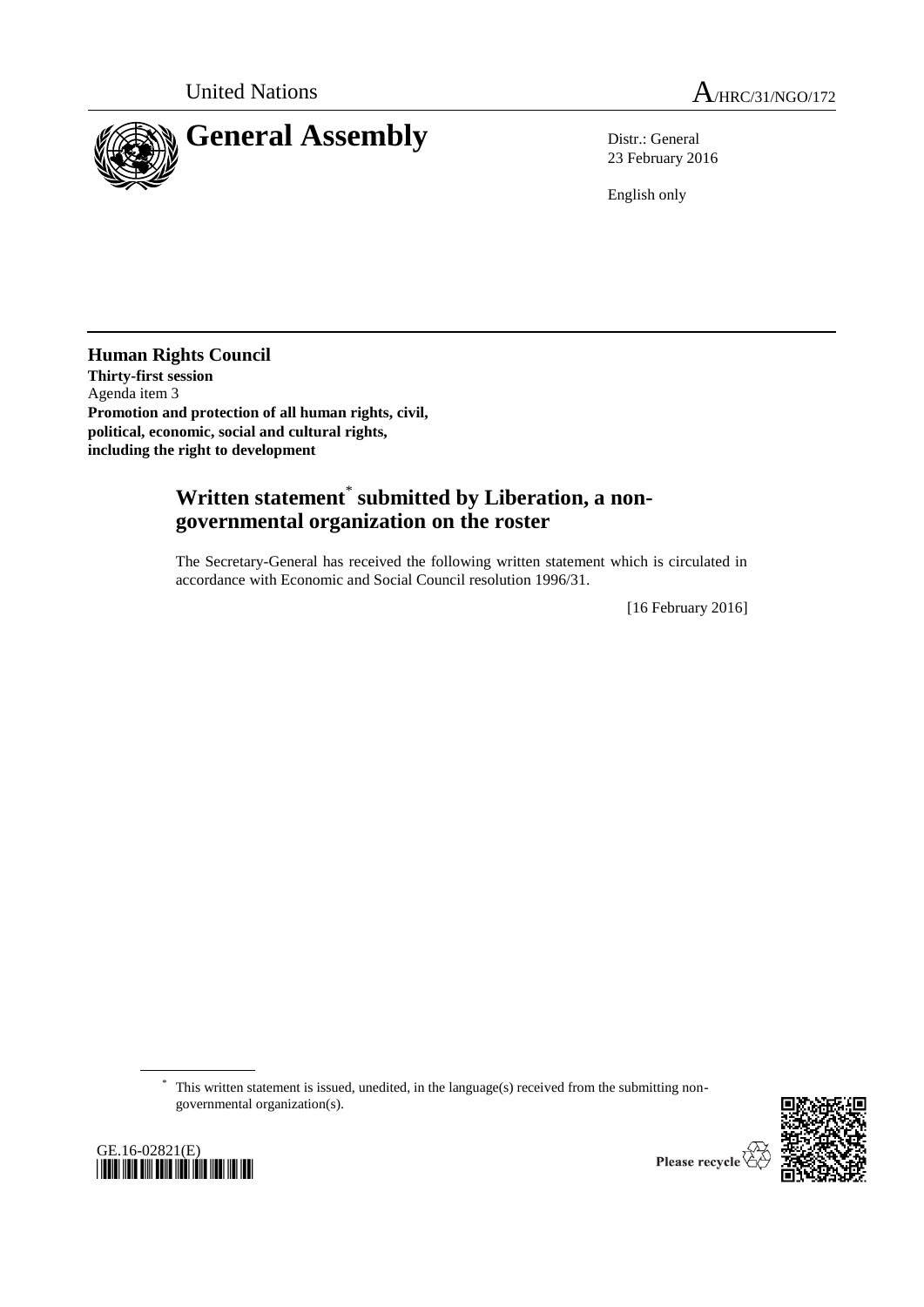

23 February 2016

English only

**Human Rights Council Thirty-first session** Agenda item 3 **Promotion and protection of all human rights, civil, political, economic, social and cultural rights, including the right to development**

## **Written statement**\* **submitted by Liberation, a nongovernmental organization on the roster**

The Secretary-General has received the following written statement which is circulated in accordance with Economic and Social Council resolution 1996/31.

[16 February 2016]

\* This written statement is issued, unedited, in the language(s) received from the submitting nongovernmental organization(s).





Please recycle  $\sqrt{ }$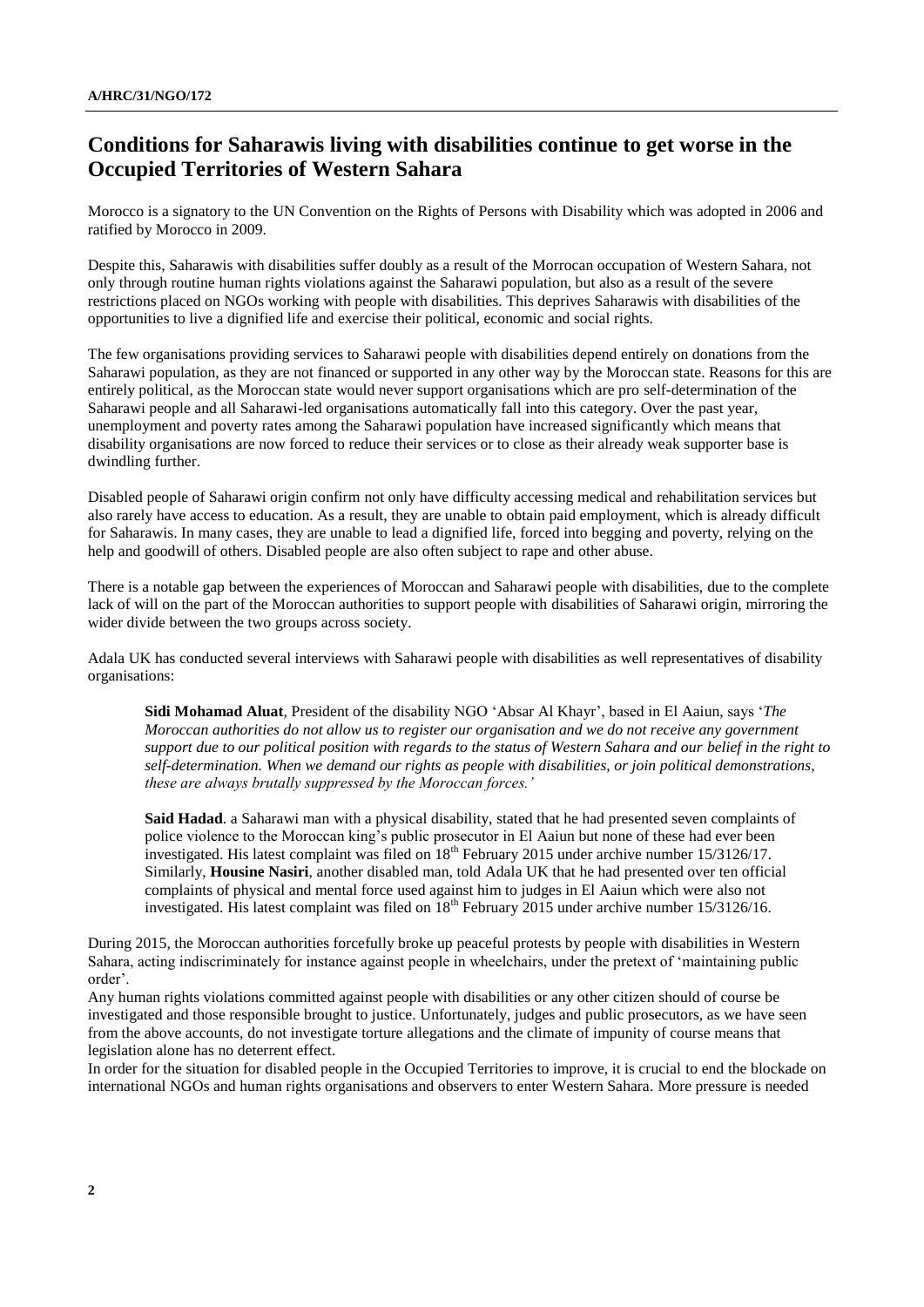## **Conditions for Saharawis living with disabilities continue to get worse in the Occupied Territories of Western Sahara**

Morocco is a signatory to the UN Convention on the Rights of Persons with Disability which was adopted in 2006 and ratified by Morocco in 2009.

Despite this, Saharawis with disabilities suffer doubly as a result of the Morrocan occupation of Western Sahara, not only through routine human rights violations against the Saharawi population, but also as a result of the severe restrictions placed on NGOs working with people with disabilities. This deprives Saharawis with disabilities of the opportunities to live a dignified life and exercise their political, economic and social rights.

The few organisations providing services to Saharawi people with disabilities depend entirely on donations from the Saharawi population, as they are not financed or supported in any other way by the Moroccan state. Reasons for this are entirely political, as the Moroccan state would never support organisations which are pro self-determination of the Saharawi people and all Saharawi-led organisations automatically fall into this category. Over the past year, unemployment and poverty rates among the Saharawi population have increased significantly which means that disability organisations are now forced to reduce their services or to close as their already weak supporter base is dwindling further.

Disabled people of Saharawi origin confirm not only have difficulty accessing medical and rehabilitation services but also rarely have access to education. As a result, they are unable to obtain paid employment, which is already difficult for Saharawis. In many cases, they are unable to lead a dignified life, forced into begging and poverty, relying on the help and goodwill of others. Disabled people are also often subject to rape and other abuse.

There is a notable gap between the experiences of Moroccan and Saharawi people with disabilities, due to the complete lack of will on the part of the Moroccan authorities to support people with disabilities of Saharawi origin, mirroring the wider divide between the two groups across society.

Adala UK has conducted several interviews with Saharawi people with disabilities as well representatives of disability organisations:

**Sidi Mohamad Aluat**, President of the disability NGO 'Absar Al Khayr', based in El Aaiun, says '*The Moroccan authorities do not allow us to register our organisation and we do not receive any government support due to our political position with regards to the status of Western Sahara and our belief in the right to self-determination. When we demand our rights as people with disabilities, or join political demonstrations, these are always brutally suppressed by the Moroccan forces.'*

**Said Hadad**. a Saharawi man with a physical disability, stated that he had presented seven complaints of police violence to the Moroccan king's public prosecutor in El Aaiun but none of these had ever been investigated. His latest complaint was filed on 18<sup>th</sup> February 2015 under archive number 15/3126/17. Similarly, **Housine Nasiri**, another disabled man, told Adala UK that he had presented over ten official complaints of physical and mental force used against him to judges in El Aaiun which were also not investigated. His latest complaint was filed on 18<sup>th</sup> February 2015 under archive number 15/3126/16.

During 2015, the Moroccan authorities forcefully broke up peaceful protests by people with disabilities in Western Sahara, acting indiscriminately for instance against people in wheelchairs, under the pretext of 'maintaining public order'.

Any human rights violations committed against people with disabilities or any other citizen should of course be investigated and those responsible brought to justice. Unfortunately, judges and public prosecutors, as we have seen from the above accounts, do not investigate torture allegations and the climate of impunity of course means that legislation alone has no deterrent effect.

In order for the situation for disabled people in the Occupied Territories to improve, it is crucial to end the blockade on international NGOs and human rights organisations and observers to enter Western Sahara. More pressure is needed